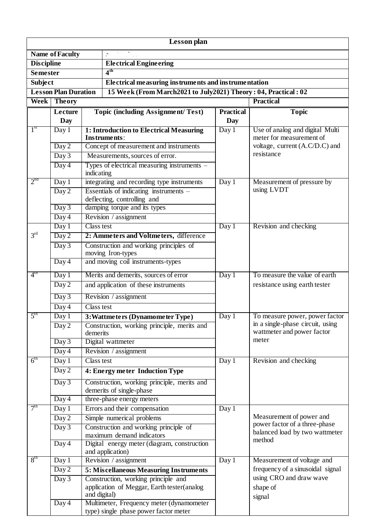| Lesson plan                                                                                   |                                                                          |                                            |                                                                                   |                  |                                                                |  |  |  |
|-----------------------------------------------------------------------------------------------|--------------------------------------------------------------------------|--------------------------------------------|-----------------------------------------------------------------------------------|------------------|----------------------------------------------------------------|--|--|--|
|                                                                                               | <b>Name of Faculty</b>                                                   |                                            |                                                                                   |                  |                                                                |  |  |  |
| <b>Discipline</b>                                                                             |                                                                          |                                            | <b>Electrical Engineering</b>                                                     |                  |                                                                |  |  |  |
| <b>Semester</b>                                                                               |                                                                          |                                            | 4 <sup>th</sup>                                                                   |                  |                                                                |  |  |  |
| <b>Subject</b><br>Electrical measuring instruments and instrumentation                        |                                                                          |                                            |                                                                                   |                  |                                                                |  |  |  |
| 15 Week (From March2021 to July2021) Theory: 04, Practical: 02<br><b>Lesson Plan Duration</b> |                                                                          |                                            |                                                                                   |                  |                                                                |  |  |  |
| Week<br><b>Theory</b>                                                                         |                                                                          |                                            |                                                                                   | <b>Practical</b> |                                                                |  |  |  |
|                                                                                               | Lecture                                                                  |                                            | <b>Topic (including Assignment/Test)</b>                                          | <b>Practical</b> | <b>Topic</b>                                                   |  |  |  |
|                                                                                               | Day                                                                      |                                            |                                                                                   | <b>Day</b>       |                                                                |  |  |  |
| 1 <sup>st</sup>                                                                               | Day 1                                                                    |                                            | 1: Introduction to Electrical Measuring<br>Instruments:                           | Day 1            | Use of analog and digital Multi<br>meter for measurement of    |  |  |  |
|                                                                                               | Day 2<br>Measurements, sources of error.<br>Day 3<br>Day 4<br>indicating |                                            | Concept of measurement and instruments                                            |                  | voltage, current (A.C/D.C) and                                 |  |  |  |
|                                                                                               |                                                                          |                                            |                                                                                   |                  | resistance                                                     |  |  |  |
|                                                                                               |                                                                          |                                            | Types of electrical measuring instruments –                                       |                  |                                                                |  |  |  |
| 2 <sup>nd</sup>                                                                               | Day 1                                                                    | integrating and recording type instruments |                                                                                   | Day 1            | Measurement of pressure by                                     |  |  |  |
|                                                                                               | Day 2                                                                    |                                            | Essentials of indicating instruments -                                            |                  | using LVDT                                                     |  |  |  |
|                                                                                               |                                                                          |                                            | deflecting, controlling and                                                       |                  |                                                                |  |  |  |
|                                                                                               | Day 3                                                                    |                                            | damping torque and its types<br>Revision / assignment                             |                  |                                                                |  |  |  |
|                                                                                               | Day 4<br>Day 1                                                           | Class test                                 |                                                                                   | Day 1            |                                                                |  |  |  |
| 3 <sup>rd</sup>                                                                               | Day 2                                                                    |                                            | 2: Ammeters and Voltmeters, difference                                            |                  | Revision and checking                                          |  |  |  |
|                                                                                               | Day 3                                                                    |                                            | Construction and working principles of                                            |                  |                                                                |  |  |  |
|                                                                                               |                                                                          |                                            | moving Iron-types                                                                 |                  |                                                                |  |  |  |
|                                                                                               | Day 4                                                                    |                                            | and moving coil instruments-types                                                 |                  |                                                                |  |  |  |
| $4^{\text{tn}}$                                                                               | Day 1                                                                    |                                            | Merits and demerits, sources of error                                             |                  | To measure the value of earth                                  |  |  |  |
|                                                                                               | Day 2                                                                    |                                            | and application of these instruments                                              | Day 1            | resistance using earth tester                                  |  |  |  |
|                                                                                               | Day 3                                                                    |                                            | Revision / assignment                                                             |                  |                                                                |  |  |  |
|                                                                                               | Day 4                                                                    | Class test                                 |                                                                                   |                  |                                                                |  |  |  |
| 5 <sup>th</sup>                                                                               | Day 1                                                                    |                                            | 3: Wattmeters (Dynamometer Type)                                                  | Day 1            | To measure power, power factor                                 |  |  |  |
|                                                                                               | $\overline{D}$ ay 2                                                      | demerits                                   | Construction, working principle, merits and                                       |                  | in a single-phase circuit, using<br>wattmeter and power factor |  |  |  |
|                                                                                               | Day 3                                                                    |                                            | Digital wattmeter                                                                 |                  | meter                                                          |  |  |  |
|                                                                                               | Day 4                                                                    |                                            | Revision / assignment                                                             |                  |                                                                |  |  |  |
| 6 <sup>th</sup>                                                                               | Day 1                                                                    | Class test                                 |                                                                                   | Day 1            | Revision and checking                                          |  |  |  |
|                                                                                               | Day 2                                                                    |                                            | 4: Energy meter Induction Type                                                    |                  |                                                                |  |  |  |
|                                                                                               | Day 3                                                                    |                                            | Construction, working principle, merits and<br>demerits of single-phase           |                  |                                                                |  |  |  |
|                                                                                               | Day 4                                                                    |                                            | three-phase energy meters                                                         |                  |                                                                |  |  |  |
| 7 <sup>th</sup>                                                                               | Day 1                                                                    |                                            | Errors and their compensation                                                     | Day 1            |                                                                |  |  |  |
|                                                                                               | Day 2                                                                    |                                            | Simple numerical problems                                                         |                  | Measurement of power and<br>power factor of a three-phase      |  |  |  |
|                                                                                               | Day 3                                                                    | Construction and working principle of      |                                                                                   |                  | balanced load by two wattmeter                                 |  |  |  |
|                                                                                               | $\overline{Day}$ 4                                                       |                                            | maximum demand indicators<br>Digital energy meter (diagram, construction          |                  | method                                                         |  |  |  |
|                                                                                               |                                                                          |                                            | and application)                                                                  |                  |                                                                |  |  |  |
| 8 <sup>th</sup>                                                                               | Day 1                                                                    | Revision / assignment                      |                                                                                   | Day 1            | Measurement of voltage and                                     |  |  |  |
|                                                                                               | Day 2                                                                    |                                            | 5: Miscellaneous Measuring Instruments                                            |                  | frequency of a sinusoidal signal                               |  |  |  |
|                                                                                               | Day 3                                                                    | and digital)                               | Construction, working principle and<br>application of Meggar, Earth tester(analog |                  | using CRO and draw wave<br>shape of<br>signal                  |  |  |  |
|                                                                                               | Day 4                                                                    |                                            | Multimeter, Frequency meter (dynamometer<br>type) single phase power factor meter |                  |                                                                |  |  |  |